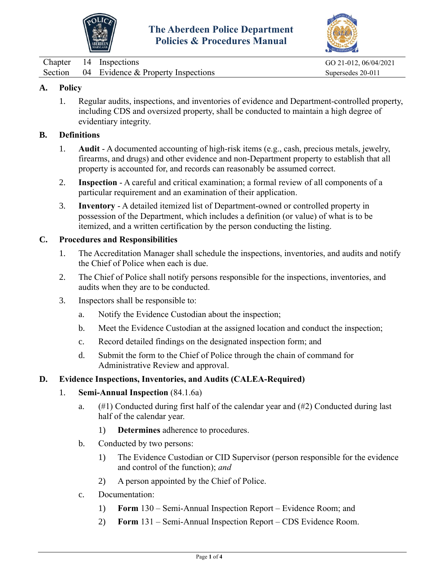



|         | Chapter 14 Inspections               | GO 21-012, 06/04/2021 |
|---------|--------------------------------------|-----------------------|
| Section | $04$ Evidence & Property Inspections | Supersedes 20-011     |

## **A. Policy**

1. Regular audits, inspections, and inventories of evidence and Department-controlled property, including CDS and oversized property, shall be conducted to maintain a high degree of evidentiary integrity.

## **B. Definitions**

- 1. **Audit** A documented accounting of high-risk items (e.g., cash, precious metals, jewelry, firearms, and drugs) and other evidence and non-Department property to establish that all property is accounted for, and records can reasonably be assumed correct.
- 2. **Inspection** A careful and critical examination; a formal [review](javascript:standardsMaster.SelectTreeNode(9063665);) of all components of a particular requirement and an examination of their application.
- 3. **Inventory** A detailed itemized list of Department-owned or controlled property in possession of the Department, which includes a definition (or value) of what is to be itemized, and a written certification by the person conducting the listing.

## **C. Procedures and Responsibilities**

- 1. The Accreditation Manager shall schedule the inspections, inventories, and audits and notify the Chief of Police when each is due.
- 2. The Chief of Police shall notify persons responsible for the inspections, inventories, and audits when they are to be conducted.
- 3. Inspectors shall be responsible to:
	- a. Notify the Evidence Custodian about the inspection;
	- b. Meet the Evidence Custodian at the assigned location and conduct the inspection;
	- c. Record detailed findings on the designated inspection form; and
	- d. Submit the form to the Chief of Police through the chain of command for Administrative Review and approval.

## **D. Evidence Inspections, Inventories, and Audits (CALEA-Required)**

- 1. **Semi-Annual Inspection** (84.1.6a)
	- a.  $(\#1)$  Conducted during first half of the calendar year and  $(\#2)$  Conducted during last half of the calendar year.
		- 1) **Determines** adherence to procedures.
	- b. Conducted by two persons:
		- 1) The Evidence Custodian or CID Supervisor (person responsible for the evidence and control of the function); *and*
		- 2) A person appointed by the Chief of Police.
	- c. Documentation:
		- 1) **Form** 130 Semi-Annual Inspection Report Evidence Room; and
		- 2) **Form** 131 Semi-Annual Inspection Report CDS Evidence Room.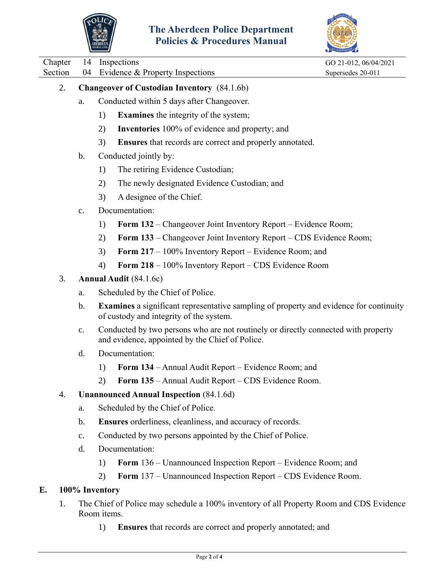



Chapter 14 Inspections GO 21-012, 06/04/2021 Section 04 Evidence & Property Inspections Supersedes 20-011 2. **Changeover of Custodian Inventory** (84.1.6b) a. Conducted within 5 days after Changeover. 1) **Examines** the integrity of the system; 2) **Inventories** 100% of evidence and property; and 3) **Ensures** that records are correct and properly annotated. b. Conducted jointly by: 1) The retiring Evidence Custodian; 2) The newly designated Evidence Custodian; and 3) A designee of the Chief. c. Documentation: 1) **Form 132** – Changeover Joint Inventory Report – Evidence Room; 2) **Form 133** – Changeover Joint Inventory Report – CDS Evidence Room; 3) **Form 217** – 100% Inventory Report – Evidence Room; and 4) **Form 218** – 100% Inventory Report – CDS Evidence Room 3. **Annual Audit** (84.1.6c) a. Scheduled by the Chief of Police. b. **Examines** a significant representative sampling of property and evidence for continuity of custody and integrity of the system. c. Conducted by two persons who are not routinely or directly connected with property and evidence, appointed by the Chief of Police. d. Documentation: 1) **Form 134** – Annual Audit Report – Evidence Room; and 2) **Form 135** – Annual Audit Report – CDS Evidence Room. 4. **Unannounced Annual Inspection** (84.1.6d) a. Scheduled by the Chief of Police. b. **Ensures** orderliness, cleanliness, and accuracy of records. c. Conducted by two persons appointed by the Chief of Police. d. Documentation: 1) **Form** 136 – Unannounced Inspection Report – Evidence Room; and 2) **Form** 137 – Unannounced Inspection Report – CDS Evidence Room. **E. 100% Inventory**  1. The Chief of Police may schedule a 100% inventory of all Property Room and CDS Evidence Room items.

1) **Ensures** that records are correct and properly annotated; and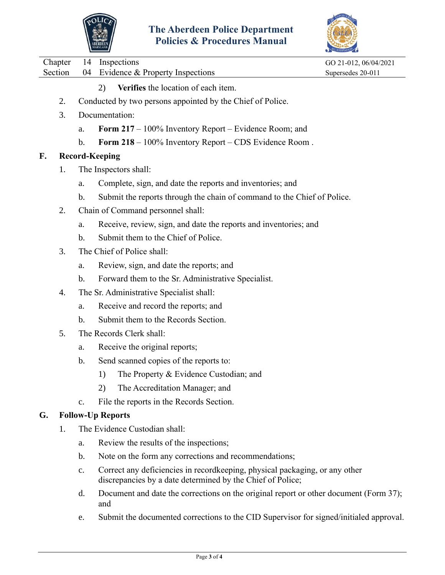



|    |         |                          | ABERDEEN<br>maryland<br>I UNCRS & I FOCCUBI ES MIANUAI                                                                                    |                       |  |  |  |
|----|---------|--------------------------|-------------------------------------------------------------------------------------------------------------------------------------------|-----------------------|--|--|--|
|    | Chapter | 14                       | Inspections                                                                                                                               | GO 21-012, 06/04/2021 |  |  |  |
|    | Section | 04                       | Evidence & Property Inspections                                                                                                           | Supersedes 20-011     |  |  |  |
|    |         |                          | Verifies the location of each item.<br>2)                                                                                                 |                       |  |  |  |
|    | 2.      |                          | Conducted by two persons appointed by the Chief of Police.                                                                                |                       |  |  |  |
| 3. |         |                          | Documentation:                                                                                                                            |                       |  |  |  |
|    |         | a.                       | <b>Form 217</b> – 100% Inventory Report – Evidence Room; and                                                                              |                       |  |  |  |
|    |         | $\mathbf b$ .            | Form 218 - 100% Inventory Report - CDS Evidence Room.                                                                                     |                       |  |  |  |
| F. |         | <b>Record-Keeping</b>    |                                                                                                                                           |                       |  |  |  |
|    | 1.      |                          | The Inspectors shall:                                                                                                                     |                       |  |  |  |
|    |         | a.                       | Complete, sign, and date the reports and inventories; and                                                                                 |                       |  |  |  |
|    |         | $\mathbf b$ .            | Submit the reports through the chain of command to the Chief of Police.                                                                   |                       |  |  |  |
|    | 2.      |                          | Chain of Command personnel shall:                                                                                                         |                       |  |  |  |
|    |         | a.                       | Receive, review, sign, and date the reports and inventories; and                                                                          |                       |  |  |  |
|    |         | $\mathbf b$ .            | Submit them to the Chief of Police.                                                                                                       |                       |  |  |  |
|    | 3.      |                          | The Chief of Police shall:                                                                                                                |                       |  |  |  |
|    |         | a.                       | Review, sign, and date the reports; and                                                                                                   |                       |  |  |  |
|    |         | $\mathbf b$ .            | Forward them to the Sr. Administrative Specialist.                                                                                        |                       |  |  |  |
|    | 4.      |                          | The Sr. Administrative Specialist shall:                                                                                                  |                       |  |  |  |
|    |         | a.                       | Receive and record the reports; and                                                                                                       |                       |  |  |  |
|    |         | $\mathbf b$ .            | Submit them to the Records Section.                                                                                                       |                       |  |  |  |
|    | 5.      |                          | The Records Clerk shall:                                                                                                                  |                       |  |  |  |
|    |         | a.                       | Receive the original reports;                                                                                                             |                       |  |  |  |
|    |         | $\mathbf b$ .            | Send scanned copies of the reports to:                                                                                                    |                       |  |  |  |
|    |         |                          | The Property & Evidence Custodian; and<br>1)                                                                                              |                       |  |  |  |
|    |         |                          | 2)<br>The Accreditation Manager; and                                                                                                      |                       |  |  |  |
|    |         | c.                       | File the reports in the Records Section.                                                                                                  |                       |  |  |  |
| G. |         | <b>Follow-Up Reports</b> |                                                                                                                                           |                       |  |  |  |
|    | 1.      |                          | The Evidence Custodian shall:                                                                                                             |                       |  |  |  |
|    |         | a.                       | Review the results of the inspections;                                                                                                    |                       |  |  |  |
|    |         | $\mathbf b$ .            | Note on the form any corrections and recommendations;                                                                                     |                       |  |  |  |
|    |         | c.                       | Correct any deficiencies in recordkeeping, physical packaging, or any other<br>discrepancies by a date determined by the Chief of Police; |                       |  |  |  |
|    |         | d.                       | Document and date the corrections on the original report or other document (Form 37);<br>and                                              |                       |  |  |  |
|    |         | e.                       | Submit the documented corrections to the CID Supervisor for signed/initialed approval.                                                    |                       |  |  |  |